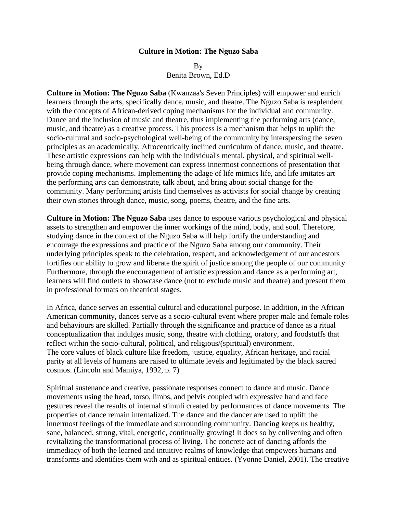## **Culture in Motion: The Nguzo Saba**

By

Benita Brown, Ed.D

**Culture in Motion: The Nguzo Saba** (Kwanzaa's Seven Principles) will empower and enrich learners through the arts, specifically dance, music, and theatre. The Nguzo Saba is resplendent with the concepts of African-derived coping mechanisms for the individual and community. Dance and the inclusion of music and theatre, thus implementing the performing arts (dance, music, and theatre) as a creative process. This process is a mechanism that helps to uplift the socio-cultural and socio-psychological well-being of the community by interspersing the seven principles as an academically, Afrocentrically inclined curriculum of dance, music, and theatre. These artistic expressions can help with the individual's mental, physical, and spiritual wellbeing through dance, where movement can express innermost connections of presentation that provide coping mechanisms. Implementing the adage of life mimics life, and life imitates art – the performing arts can demonstrate, talk about, and bring about social change for the community. Many performing artists find themselves as activists for social change by creating their own stories through dance, music, song, poems, theatre, and the fine arts.

**Culture in Motion: The Nguzo Saba** uses dance to espouse various psychological and physical assets to strengthen and empower the inner workings of the mind, body, and soul. Therefore, studying dance in the context of the Nguzo Saba will help fortify the understanding and encourage the expressions and practice of the Nguzo Saba among our community. Their underlying principles speak to the celebration, respect, and acknowledgement of our ancestors fortifies our ability to grow and liberate the spirit of justice among the people of our community. Furthermore, through the encouragement of artistic expression and dance as a performing art, learners will find outlets to showcase dance (not to exclude music and theatre) and present them in professional formats on theatrical stages.

In Africa, dance serves an essential cultural and educational purpose. In addition, in the African American community, dances serve as a socio-cultural event where proper male and female roles and behaviours are skilled. Partially through the significance and practice of dance as a ritual conceptualization that indulges music, song, theatre with clothing, oratory, and foodstuffs that reflect within the socio-cultural, political, and religious/(spiritual) environment. The core values of black culture like freedom, justice, equality, African heritage, and racial parity at all levels of humans are raised to ultimate levels and legitimated by the black sacred cosmos. (Lincoln and Mamiya, 1992, p. 7)

Spiritual sustenance and creative, passionate responses connect to dance and music. Dance movements using the head, torso, limbs, and pelvis coupled with expressive hand and face gestures reveal the results of internal stimuli created by performances of dance movements. The properties of dance remain internalized. The dance and the dancer are used to uplift the innermost feelings of the immediate and surrounding community. Dancing keeps us healthy, sane, balanced, strong, vital, energetic, continually growing! It does so by enlivening and often revitalizing the transformational process of living. The concrete act of dancing affords the immediacy of both the learned and intuitive realms of knowledge that empowers humans and transforms and identifies them with and as spiritual entities. (Yvonne Daniel, 2001). The creative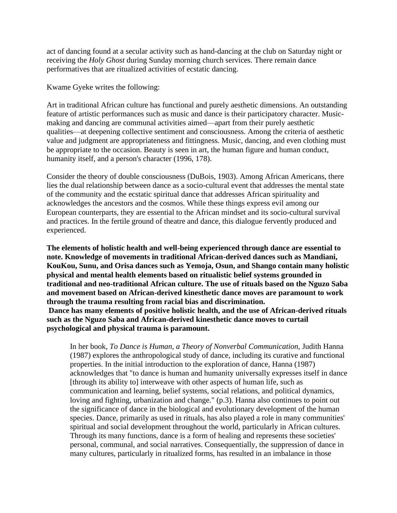act of dancing found at a secular activity such as hand-dancing at the club on Saturday night or receiving the *Holy Ghost* during Sunday morning church services. There remain dance performatives that are ritualized activities of ecstatic dancing.

Kwame Gyeke writes the following:

Art in traditional African culture has functional and purely aesthetic dimensions. An outstanding feature of artistic performances such as music and dance is their participatory character. Musicmaking and dancing are communal activities aimed—apart from their purely aesthetic qualities—at deepening collective sentiment and consciousness. Among the criteria of aesthetic value and judgment are appropriateness and fittingness. Music, dancing, and even clothing must be appropriate to the occasion. Beauty is seen in art, the human figure and human conduct, humanity itself, and a person's character (1996, 178).

Consider the theory of double consciousness (DuBois, 1903). Among African Americans, there lies the dual relationship between dance as a socio-cultural event that addresses the mental state of the community and the ecstatic spiritual dance that addresses African spirituality and acknowledges the ancestors and the cosmos. While these things express evil among our European counterparts, they are essential to the African mindset and its socio-cultural survival and practices. In the fertile ground of theatre and dance, this dialogue fervently produced and experienced.

**The elements of holistic health and well-being experienced through dance are essential to note. Knowledge of movements in traditional African-derived dances such as Mandiani, KouKou, Sunu, and Orisa dances such as Yemoja, Osun, and Shango contain many holistic physical and mental health elements based on ritualistic belief systems grounded in traditional and neo-traditional African culture. The use of rituals based on the Nguzo Saba and movement based on African-derived kinesthetic dance moves are paramount to work through the trauma resulting from racial bias and discrimination. Dance has many elements of positive holistic health, and the use of African-derived rituals such as the Nguzo Saba and African-derived kinesthetic dance moves to curtail psychological and physical trauma is paramount.**

In her book, *To Dance is Human, a Theory of Nonverbal Communication,* Judith Hanna (1987) explores the anthropological study of dance, including its curative and functional properties. In the initial introduction to the exploration of dance, Hanna (1987) acknowledges that "to dance is human and humanity universally expresses itself in dance [through its ability to] interweave with other aspects of human life, such as communication and learning, belief systems, social relations, and political dynamics, loving and fighting, urbanization and change." (p.3). Hanna also continues to point out the significance of dance in the biological and evolutionary development of the human species. Dance, primarily as used in rituals, has also played a role in many communities' spiritual and social development throughout the world, particularly in African cultures. Through its many functions, dance is a form of healing and represents these societies' personal, communal, and social narratives. Consequentially, the suppression of dance in many cultures, particularly in ritualized forms, has resulted in an imbalance in those